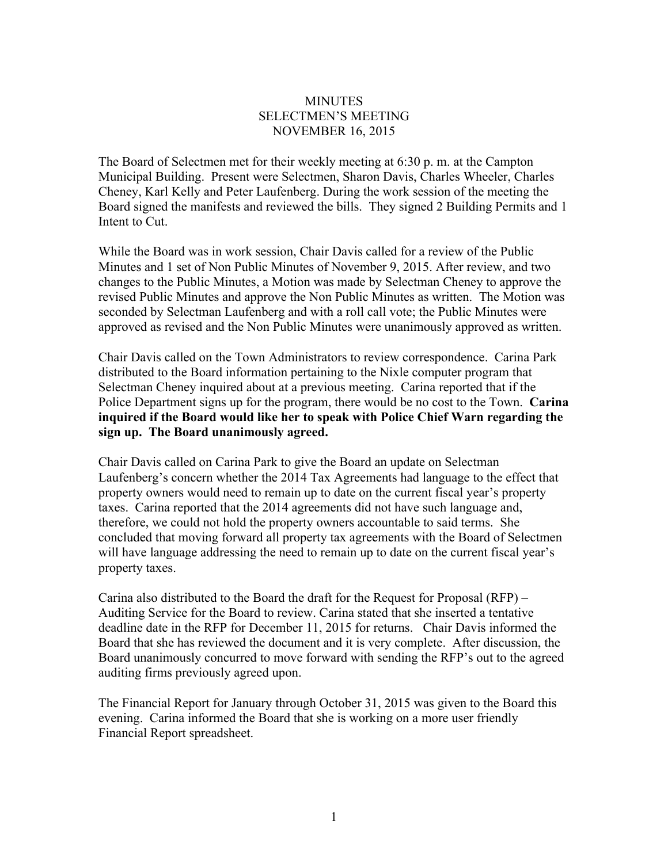## **MINUTES** SELECTMEN'S MEETING NOVEMBER 16, 2015

The Board of Selectmen met for their weekly meeting at 6:30 p. m. at the Campton Municipal Building. Present were Selectmen, Sharon Davis, Charles Wheeler, Charles Cheney, Karl Kelly and Peter Laufenberg. During the work session of the meeting the Board signed the manifests and reviewed the bills. They signed 2 Building Permits and 1 Intent to Cut.

While the Board was in work session, Chair Davis called for a review of the Public Minutes and 1 set of Non Public Minutes of November 9, 2015. After review, and two changes to the Public Minutes, a Motion was made by Selectman Cheney to approve the revised Public Minutes and approve the Non Public Minutes as written. The Motion was seconded by Selectman Laufenberg and with a roll call vote; the Public Minutes were approved as revised and the Non Public Minutes were unanimously approved as written.

Chair Davis called on the Town Administrators to review correspondence. Carina Park distributed to the Board information pertaining to the Nixle computer program that Selectman Cheney inquired about at a previous meeting. Carina reported that if the Police Department signs up for the program, there would be no cost to the Town. **Carina inquired if the Board would like her to speak with Police Chief Warn regarding the sign up. The Board unanimously agreed.** 

Chair Davis called on Carina Park to give the Board an update on Selectman Laufenberg's concern whether the 2014 Tax Agreements had language to the effect that property owners would need to remain up to date on the current fiscal year's property taxes. Carina reported that the 2014 agreements did not have such language and, therefore, we could not hold the property owners accountable to said terms. She concluded that moving forward all property tax agreements with the Board of Selectmen will have language addressing the need to remain up to date on the current fiscal year's property taxes.

Carina also distributed to the Board the draft for the Request for Proposal (RFP) – Auditing Service for the Board to review. Carina stated that she inserted a tentative deadline date in the RFP for December 11, 2015 for returns. Chair Davis informed the Board that she has reviewed the document and it is very complete. After discussion, the Board unanimously concurred to move forward with sending the RFP's out to the agreed auditing firms previously agreed upon.

The Financial Report for January through October 31, 2015 was given to the Board this evening. Carina informed the Board that she is working on a more user friendly Financial Report spreadsheet.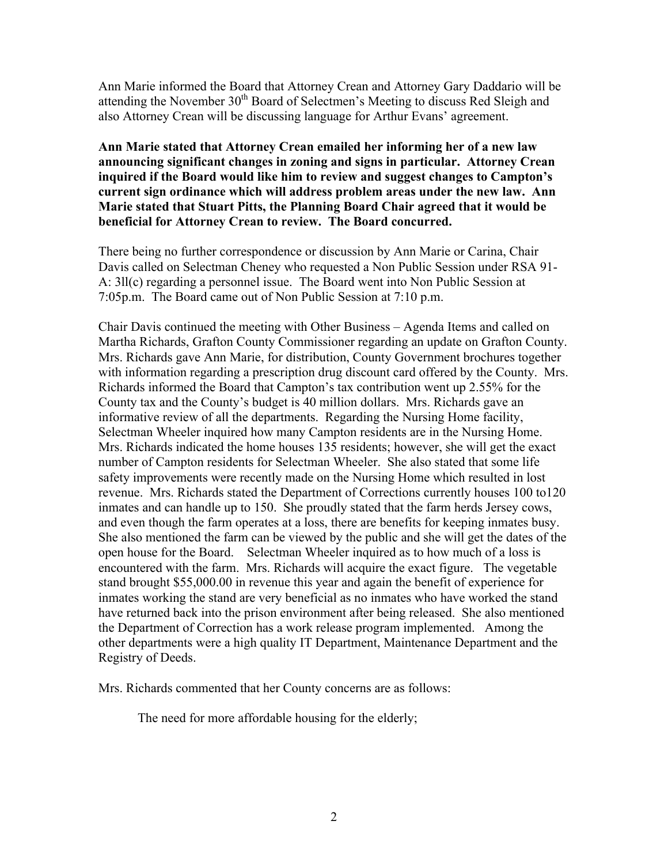Ann Marie informed the Board that Attorney Crean and Attorney Gary Daddario will be attending the November 30<sup>th</sup> Board of Selectmen's Meeting to discuss Red Sleigh and also Attorney Crean will be discussing language for Arthur Evans' agreement.

**Ann Marie stated that Attorney Crean emailed her informing her of a new law announcing significant changes in zoning and signs in particular. Attorney Crean inquired if the Board would like him to review and suggest changes to Campton's current sign ordinance which will address problem areas under the new law. Ann Marie stated that Stuart Pitts, the Planning Board Chair agreed that it would be beneficial for Attorney Crean to review. The Board concurred.**

There being no further correspondence or discussion by Ann Marie or Carina, Chair Davis called on Selectman Cheney who requested a Non Public Session under RSA 91- A: 3ll(c) regarding a personnel issue. The Board went into Non Public Session at 7:05p.m. The Board came out of Non Public Session at 7:10 p.m.

Chair Davis continued the meeting with Other Business – Agenda Items and called on Martha Richards, Grafton County Commissioner regarding an update on Grafton County. Mrs. Richards gave Ann Marie, for distribution, County Government brochures together with information regarding a prescription drug discount card offered by the County. Mrs. Richards informed the Board that Campton's tax contribution went up 2.55% for the County tax and the County's budget is 40 million dollars. Mrs. Richards gave an informative review of all the departments. Regarding the Nursing Home facility, Selectman Wheeler inquired how many Campton residents are in the Nursing Home. Mrs. Richards indicated the home houses 135 residents; however, she will get the exact number of Campton residents for Selectman Wheeler. She also stated that some life safety improvements were recently made on the Nursing Home which resulted in lost revenue. Mrs. Richards stated the Department of Corrections currently houses 100 to120 inmates and can handle up to 150. She proudly stated that the farm herds Jersey cows, and even though the farm operates at a loss, there are benefits for keeping inmates busy. She also mentioned the farm can be viewed by the public and she will get the dates of the open house for the Board. Selectman Wheeler inquired as to how much of a loss is encountered with the farm. Mrs. Richards will acquire the exact figure. The vegetable stand brought \$55,000.00 in revenue this year and again the benefit of experience for inmates working the stand are very beneficial as no inmates who have worked the stand have returned back into the prison environment after being released. She also mentioned the Department of Correction has a work release program implemented. Among the other departments were a high quality IT Department, Maintenance Department and the Registry of Deeds.

Mrs. Richards commented that her County concerns are as follows:

The need for more affordable housing for the elderly;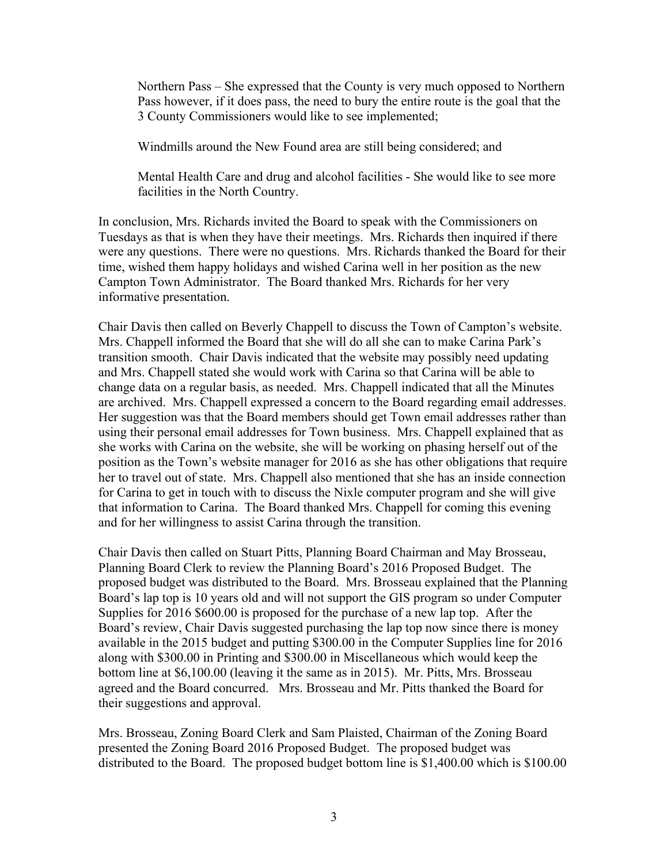Northern Pass – She expressed that the County is very much opposed to Northern Pass however, if it does pass, the need to bury the entire route is the goal that the 3 County Commissioners would like to see implemented;

Windmills around the New Found area are still being considered; and

Mental Health Care and drug and alcohol facilities - She would like to see more facilities in the North Country.

In conclusion, Mrs. Richards invited the Board to speak with the Commissioners on Tuesdays as that is when they have their meetings. Mrs. Richards then inquired if there were any questions. There were no questions. Mrs. Richards thanked the Board for their time, wished them happy holidays and wished Carina well in her position as the new Campton Town Administrator. The Board thanked Mrs. Richards for her very informative presentation.

Chair Davis then called on Beverly Chappell to discuss the Town of Campton's website. Mrs. Chappell informed the Board that she will do all she can to make Carina Park's transition smooth. Chair Davis indicated that the website may possibly need updating and Mrs. Chappell stated she would work with Carina so that Carina will be able to change data on a regular basis, as needed. Mrs. Chappell indicated that all the Minutes are archived. Mrs. Chappell expressed a concern to the Board regarding email addresses. Her suggestion was that the Board members should get Town email addresses rather than using their personal email addresses for Town business. Mrs. Chappell explained that as she works with Carina on the website, she will be working on phasing herself out of the position as the Town's website manager for 2016 as she has other obligations that require her to travel out of state. Mrs. Chappell also mentioned that she has an inside connection for Carina to get in touch with to discuss the Nixle computer program and she will give that information to Carina. The Board thanked Mrs. Chappell for coming this evening and for her willingness to assist Carina through the transition.

Chair Davis then called on Stuart Pitts, Planning Board Chairman and May Brosseau, Planning Board Clerk to review the Planning Board's 2016 Proposed Budget. The proposed budget was distributed to the Board. Mrs. Brosseau explained that the Planning Board's lap top is 10 years old and will not support the GIS program so under Computer Supplies for 2016 \$600.00 is proposed for the purchase of a new lap top. After the Board's review, Chair Davis suggested purchasing the lap top now since there is money available in the 2015 budget and putting \$300.00 in the Computer Supplies line for 2016 along with \$300.00 in Printing and \$300.00 in Miscellaneous which would keep the bottom line at \$6,100.00 (leaving it the same as in 2015). Mr. Pitts, Mrs. Brosseau agreed and the Board concurred. Mrs. Brosseau and Mr. Pitts thanked the Board for their suggestions and approval.

Mrs. Brosseau, Zoning Board Clerk and Sam Plaisted, Chairman of the Zoning Board presented the Zoning Board 2016 Proposed Budget. The proposed budget was distributed to the Board. The proposed budget bottom line is \$1,400.00 which is \$100.00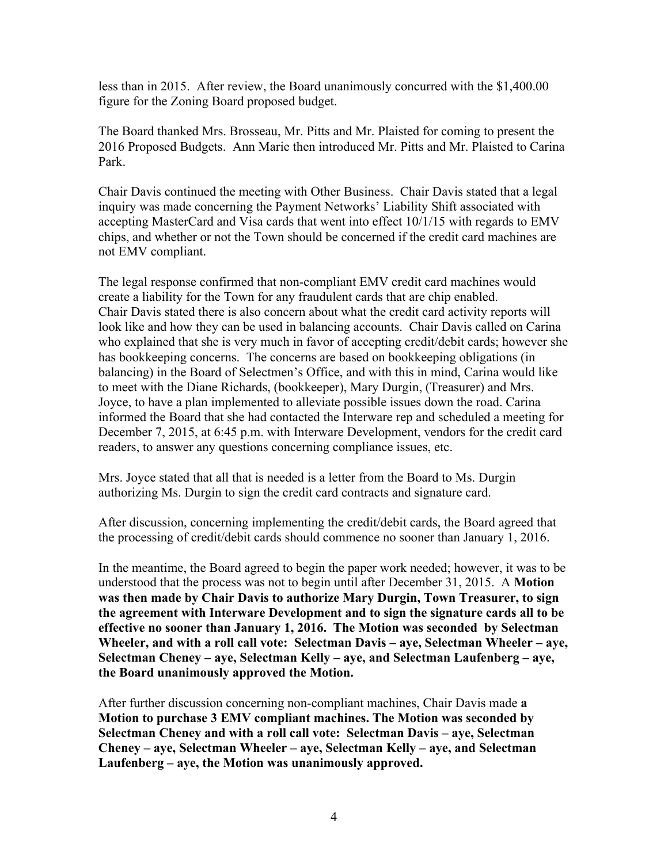less than in 2015. After review, the Board unanimously concurred with the \$1,400.00 figure for the Zoning Board proposed budget.

The Board thanked Mrs. Brosseau, Mr. Pitts and Mr. Plaisted for coming to present the 2016 Proposed Budgets. Ann Marie then introduced Mr. Pitts and Mr. Plaisted to Carina Park.

Chair Davis continued the meeting with Other Business. Chair Davis stated that a legal inquiry was made concerning the Payment Networks' Liability Shift associated with accepting MasterCard and Visa cards that went into effect 10/1/15 with regards to EMV chips, and whether or not the Town should be concerned if the credit card machines are not EMV compliant.

The legal response confirmed that non-compliant EMV credit card machines would create a liability for the Town for any fraudulent cards that are chip enabled. Chair Davis stated there is also concern about what the credit card activity reports will look like and how they can be used in balancing accounts. Chair Davis called on Carina who explained that she is very much in favor of accepting credit/debit cards; however she has bookkeeping concerns. The concerns are based on bookkeeping obligations (in balancing) in the Board of Selectmen's Office, and with this in mind, Carina would like to meet with the Diane Richards, (bookkeeper), Mary Durgin, (Treasurer) and Mrs. Joyce, to have a plan implemented to alleviate possible issues down the road. Carina informed the Board that she had contacted the Interware rep and scheduled a meeting for December 7, 2015, at 6:45 p.m. with Interware Development, vendors for the credit card readers, to answer any questions concerning compliance issues, etc.

Mrs. Joyce stated that all that is needed is a letter from the Board to Ms. Durgin authorizing Ms. Durgin to sign the credit card contracts and signature card.

After discussion, concerning implementing the credit/debit cards, the Board agreed that the processing of credit/debit cards should commence no sooner than January 1, 2016.

In the meantime, the Board agreed to begin the paper work needed; however, it was to be understood that the process was not to begin until after December 31, 2015. A **Motion was then made by Chair Davis to authorize Mary Durgin, Town Treasurer, to sign the agreement with Interware Development and to sign the signature cards all to be effective no sooner than January 1, 2016. The Motion was seconded by Selectman Wheeler, and with a roll call vote: Selectman Davis – aye, Selectman Wheeler – aye, Selectman Cheney – aye, Selectman Kelly – aye, and Selectman Laufenberg – aye, the Board unanimously approved the Motion.**

After further discussion concerning non-compliant machines, Chair Davis made **a Motion to purchase 3 EMV compliant machines. The Motion was seconded by Selectman Cheney and with a roll call vote: Selectman Davis – aye, Selectman Cheney – aye, Selectman Wheeler – aye, Selectman Kelly – aye, and Selectman Laufenberg – aye, the Motion was unanimously approved.**